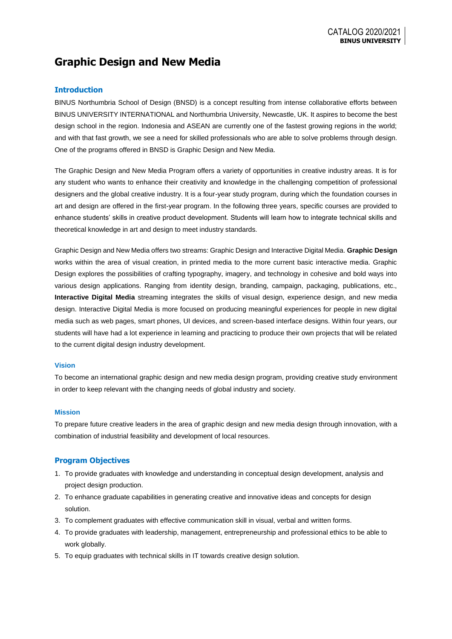# **Graphic Design and New Media**

## **Introduction**

BINUS Northumbria School of Design (BNSD) is a concept resulting from intense collaborative efforts between BINUS UNIVERSITY INTERNATIONAL and Northumbria University, Newcastle, UK. It aspires to become the best design school in the region. Indonesia and ASEAN are currently one of the fastest growing regions in the world; and with that fast growth, we see a need for skilled professionals who are able to solve problems through design. One of the programs offered in BNSD is Graphic Design and New Media.

The Graphic Design and New Media Program offers a variety of opportunities in creative industry areas. It is for any student who wants to enhance their creativity and knowledge in the challenging competition of professional designers and the global creative industry. It is a four-year study program, during which the foundation courses in art and design are offered in the first-year program. In the following three years, specific courses are provided to enhance students' skills in creative product development. Students will learn how to integrate technical skills and theoretical knowledge in art and design to meet industry standards.

Graphic Design and New Media offers two streams: Graphic Design and Interactive Digital Media. **Graphic Design** works within the area of visual creation, in printed media to the more current basic interactive media. Graphic Design explores the possibilities of crafting typography, imagery, and technology in cohesive and bold ways into various design applications. Ranging from identity design, branding, campaign, packaging, publications, etc., **Interactive Digital Media** streaming integrates the skills of visual design, experience design, and new media design. Interactive Digital Media is more focused on producing meaningful experiences for people in new digital media such as web pages, smart phones, UI devices, and screen-based interface designs. Within four years, our students will have had a lot experience in learning and practicing to produce their own projects that will be related to the current digital design industry development.

#### **Vision**

To become an international graphic design and new media design program, providing creative study environment in order to keep relevant with the changing needs of global industry and society.

#### **Mission**

To prepare future creative leaders in the area of graphic design and new media design through innovation, with a combination of industrial feasibility and development of local resources.

## **Program Objectives**

- 1. To provide graduates with knowledge and understanding in conceptual design development, analysis and project design production.
- 2. To enhance graduate capabilities in generating creative and innovative ideas and concepts for design solution.
- 3. To complement graduates with effective communication skill in visual, verbal and written forms.
- 4. To provide graduates with leadership, management, entrepreneurship and professional ethics to be able to work globally.
- 5. To equip graduates with technical skills in IT towards creative design solution.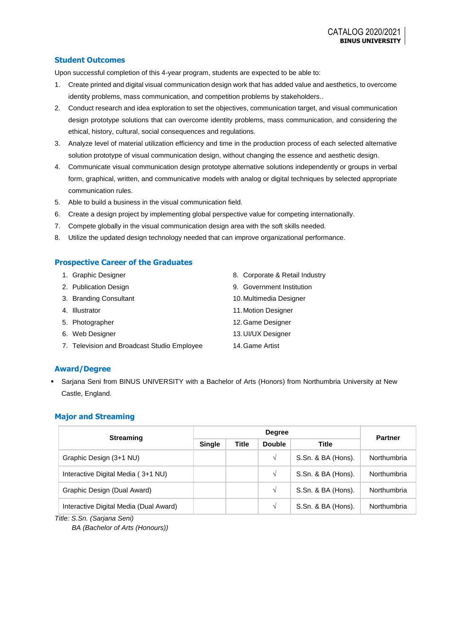## **Student Outcomes**

Upon successful completion of this 4-year program, students are expected to be able to:

- 1. Create printed and digital visual communication design work that has added value and aesthetics, to overcome identity problems, mass communication, and competition problems by stakeholders..
- 2. Conduct research and idea exploration to set the objectives, communication target, and visual communication design prototype solutions that can overcome identity problems, mass communication, and considering the ethical, history, cultural, social consequences and regulations.
- 3. Analyze level of material utilization efficiency and time in the production process of each selected alternative solution prototype of visual communication design, without changing the essence and aesthetic design.
- 4. Communicate visual communication design prototype alternative solutions independently or groups in verbal form, graphical, written, and communicative models with analog or digital techniques by selected appropriate communication rules.
- 5. Able to build a business in the visual communication field.
- 6. Create a design project by implementing global perspective value for competing internationally.
- 7. Compete globally in the visual communication design area with the soft skills needed.
- 8. Utilize the updated design technology needed that can improve organizational performance.

### **Prospective Career of the Graduates**

| 1. Graphic Designer                         | 8. Corporate & Retail Industry |
|---------------------------------------------|--------------------------------|
| 2. Publication Design                       | 9. Government Institution      |
| 3. Branding Consultant                      | 10. Multimedia Designer        |
| 4. Illustrator                              | 11. Motion Designer            |
| 5. Photographer                             | 12. Game Designer              |
| 6. Web Designer                             | 13. UI/UX Designer             |
| 7. Television and Broadcast Studio Employee | 14. Game Artist                |

## **Award/Degree**

 Sarjana Seni from BINUS UNIVERSITY with a Bachelor of Arts (Honors) from Northumbria University at New Castle, England.

## **Major and Streaming**

| <b>Streaming</b>                       |               | <b>Partner</b> |               |                    |             |  |
|----------------------------------------|---------------|----------------|---------------|--------------------|-------------|--|
|                                        | <b>Single</b> | <b>Title</b>   | <b>Double</b> | <b>Title</b>       |             |  |
| Graphic Design (3+1 NU)                |               |                | V             | S.Sn. & BA (Hons). | Northumbria |  |
| Interactive Digital Media (3+1 NU)     |               |                | V             | S.Sn. & BA (Hons). | Northumbria |  |
| Graphic Design (Dual Award)            |               |                | V             | S.Sn. & BA (Hons). | Northumbria |  |
| Interactive Digital Media (Dual Award) |               |                | V             | S.Sn. & BA (Hons). | Northumbria |  |

*Title: S.Sn. (Sarjana Seni)*

*BA (Bachelor of Arts (Honours))*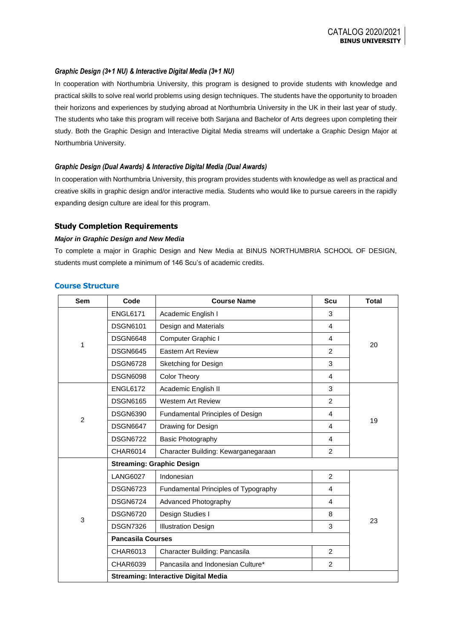#### *Graphic Design (3+1 NU) & Interactive Digital Media (3+1 NU)*

In cooperation with Northumbria University, this program is designed to provide students with knowledge and practical skills to solve real world problems using design techniques. The students have the opportunity to broaden their horizons and experiences by studying abroad at Northumbria University in the UK in their last year of study. The students who take this program will receive both Sarjana and Bachelor of Arts degrees upon completing their study. Both the Graphic Design and Interactive Digital Media streams will undertake a Graphic Design Major at Northumbria University.

#### *Graphic Design (Dual Awards) & Interactive Digital Media (Dual Awards)*

In cooperation with Northumbria University, this program provides students with knowledge as well as practical and creative skills in graphic design and/or interactive media. Students who would like to pursue careers in the rapidly expanding design culture are ideal for this program.

## **Study Completion Requirements**

#### *Major in Graphic Design and New Media*

To complete a major in Graphic Design and New Media at BINUS NORTHUMBRIA SCHOOL OF DESIGN, students must complete a minimum of 146 Scu's of academic credits.

| <b>Course Structure</b> |  |
|-------------------------|--|
|-------------------------|--|

| <b>Sem</b>     | Code                                        | <b>Course Name</b>                   | <b>Scu</b>     | <b>Total</b> |  |  |  |  |  |
|----------------|---------------------------------------------|--------------------------------------|----------------|--------------|--|--|--|--|--|
|                | <b>ENGL6171</b>                             | Academic English I                   | 3              |              |  |  |  |  |  |
|                | <b>DSGN6101</b>                             | Design and Materials                 | $\overline{4}$ |              |  |  |  |  |  |
| 1              | <b>DSGN6648</b>                             | Computer Graphic I                   | 4              | 20           |  |  |  |  |  |
|                | <b>DSGN6645</b>                             | <b>Eastern Art Review</b>            | $\overline{2}$ |              |  |  |  |  |  |
|                | <b>DSGN6728</b>                             | Sketching for Design                 | 3              |              |  |  |  |  |  |
|                | <b>DSGN6098</b>                             | <b>Color Theory</b>                  | 4              |              |  |  |  |  |  |
|                | <b>ENGL6172</b>                             | Academic English II                  | 3              |              |  |  |  |  |  |
|                | <b>DSGN6165</b>                             | <b>Western Art Review</b>            | $\overline{2}$ |              |  |  |  |  |  |
| $\overline{2}$ | <b>DSGN6390</b>                             | Fundamental Principles of Design     | 4              |              |  |  |  |  |  |
|                | <b>DSGN6647</b>                             | Drawing for Design                   | 4              | 19           |  |  |  |  |  |
|                | <b>DSGN6722</b>                             | Basic Photography                    | 4              |              |  |  |  |  |  |
|                | CHAR6014                                    | Character Building: Kewarganegaraan  | $\overline{2}$ |              |  |  |  |  |  |
|                | <b>Streaming: Graphic Design</b>            |                                      |                |              |  |  |  |  |  |
|                | <b>LANG6027</b>                             | Indonesian                           | $\overline{2}$ |              |  |  |  |  |  |
|                | <b>DSGN6723</b>                             | Fundamental Principles of Typography | 4              |              |  |  |  |  |  |
|                | <b>DSGN6724</b>                             | Advanced Photography                 | 4              |              |  |  |  |  |  |
| 3              | <b>DSGN6720</b>                             | Design Studies I                     | 8              |              |  |  |  |  |  |
|                | <b>DSGN7326</b>                             | <b>Illustration Design</b>           | 3              | 23           |  |  |  |  |  |
|                | <b>Pancasila Courses</b>                    |                                      |                |              |  |  |  |  |  |
|                | CHAR6013                                    | Character Building: Pancasila        | $\overline{2}$ |              |  |  |  |  |  |
|                | CHAR6039                                    | Pancasila and Indonesian Culture*    | 2              |              |  |  |  |  |  |
|                | <b>Streaming: Interactive Digital Media</b> |                                      |                |              |  |  |  |  |  |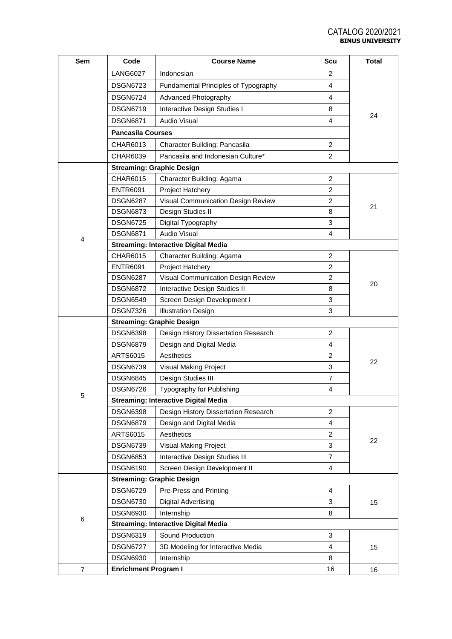| Sem            | Code                                        | <b>Course Name</b>                          | Scu            | <b>Total</b> |  |  |  |  |  |
|----------------|---------------------------------------------|---------------------------------------------|----------------|--------------|--|--|--|--|--|
|                | <b>LANG6027</b>                             | Indonesian                                  | 2              |              |  |  |  |  |  |
|                | <b>DSGN6723</b>                             | Fundamental Principles of Typography        | 4              |              |  |  |  |  |  |
|                | <b>DSGN6724</b>                             | Advanced Photography                        | 4              |              |  |  |  |  |  |
|                | <b>DSGN6719</b>                             | Interactive Design Studies I                | 8              |              |  |  |  |  |  |
|                | <b>DSGN6871</b>                             | <b>Audio Visual</b>                         | 4              | 24           |  |  |  |  |  |
|                | <b>Pancasila Courses</b>                    |                                             |                |              |  |  |  |  |  |
|                | CHAR6013                                    | Character Building: Pancasila               | $\overline{c}$ |              |  |  |  |  |  |
|                | CHAR6039                                    | Pancasila and Indonesian Culture*           | 2              |              |  |  |  |  |  |
|                |                                             | <b>Streaming: Graphic Design</b>            |                |              |  |  |  |  |  |
|                | CHAR6015                                    | Character Building: Agama                   | 2              |              |  |  |  |  |  |
|                | <b>ENTR6091</b>                             | Project Hatchery                            | $\overline{2}$ |              |  |  |  |  |  |
|                | <b>DSGN6287</b>                             | Visual Communication Design Review          | $\overline{2}$ |              |  |  |  |  |  |
|                | <b>DSGN6873</b>                             | Design Studies II                           | 8              | 21           |  |  |  |  |  |
|                | <b>DSGN6725</b>                             | Digital Typography                          | 3              |              |  |  |  |  |  |
|                | <b>DSGN6871</b>                             | <b>Audio Visual</b>                         | 4              |              |  |  |  |  |  |
| 4              |                                             | <b>Streaming: Interactive Digital Media</b> |                |              |  |  |  |  |  |
|                | CHAR6015                                    | Character Building: Agama                   | $\overline{2}$ |              |  |  |  |  |  |
|                | <b>ENTR6091</b>                             | Project Hatchery                            | 2              |              |  |  |  |  |  |
|                | <b>DSGN6287</b>                             | Visual Communication Design Review          | $\overline{2}$ |              |  |  |  |  |  |
|                | <b>DSGN6872</b>                             | Interactive Design Studies II               | 8              | 20           |  |  |  |  |  |
|                | <b>DSGN6549</b>                             | Screen Design Development I                 | 3              |              |  |  |  |  |  |
|                | <b>DSGN7326</b>                             | <b>Illustration Design</b>                  | 3              |              |  |  |  |  |  |
|                |                                             | <b>Streaming: Graphic Design</b>            |                |              |  |  |  |  |  |
|                | <b>DSGN6398</b>                             | Design History Dissertation Research        | $\overline{2}$ |              |  |  |  |  |  |
|                | <b>DSGN6879</b>                             | Design and Digital Media                    | 4              |              |  |  |  |  |  |
|                | <b>ARTS6015</b>                             | Aesthetics                                  | $\overline{c}$ |              |  |  |  |  |  |
|                | <b>DSGN6739</b>                             | <b>Visual Making Project</b>                | 3              | 22           |  |  |  |  |  |
|                | <b>DSGN6845</b>                             | Design Studies III                          | $\overline{7}$ |              |  |  |  |  |  |
|                | <b>DSGN6726</b>                             | Typography for Publishing                   | $\overline{4}$ |              |  |  |  |  |  |
| 5              | <b>Streaming: Interactive Digital Media</b> |                                             |                |              |  |  |  |  |  |
|                | <b>DSGN6398</b>                             | Design History Dissertation Research        | 2              |              |  |  |  |  |  |
|                | <b>DSGN6879</b>                             | Design and Digital Media                    | 4              |              |  |  |  |  |  |
|                | ARTS6015                                    | Aesthetics                                  | $\overline{c}$ |              |  |  |  |  |  |
|                | <b>DSGN6739</b>                             | Visual Making Project                       | 3              | 22           |  |  |  |  |  |
|                | <b>DSGN6853</b>                             | Interactive Design Studies III              | $\overline{7}$ |              |  |  |  |  |  |
|                | <b>DSGN6190</b>                             | Screen Design Development II                | 4              |              |  |  |  |  |  |
|                |                                             | <b>Streaming: Graphic Design</b>            |                |              |  |  |  |  |  |
|                | <b>DSGN6729</b>                             | Pre-Press and Printing                      | 4              |              |  |  |  |  |  |
|                | <b>DSGN6730</b>                             | <b>Digital Advertising</b>                  | 3              | 15           |  |  |  |  |  |
|                | <b>DSGN6930</b>                             | Internship                                  | 8              |              |  |  |  |  |  |
| 6              |                                             | <b>Streaming: Interactive Digital Media</b> |                |              |  |  |  |  |  |
|                | <b>DSGN6319</b>                             | Sound Production                            | 3              |              |  |  |  |  |  |
|                | <b>DSGN6727</b>                             | 3D Modeling for Interactive Media           | 4              | 15           |  |  |  |  |  |
|                | <b>DSGN6930</b>                             | Internship                                  | 8              |              |  |  |  |  |  |
| $\overline{7}$ | <b>Enrichment Program I</b>                 |                                             | 16             | 16           |  |  |  |  |  |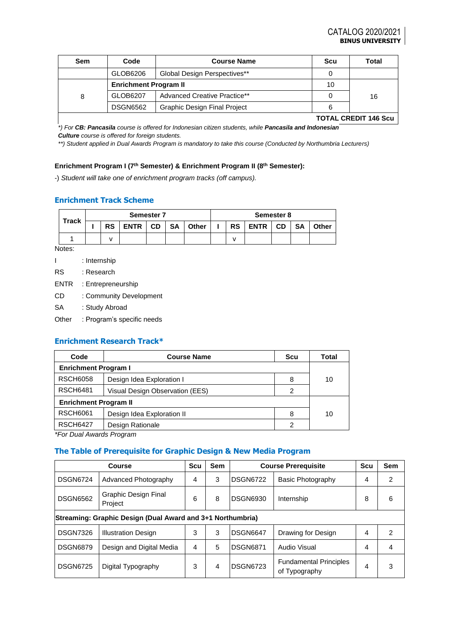| Sem | Code                         | <b>Course Name</b>                  | Scu | Total     |  |
|-----|------------------------------|-------------------------------------|-----|-----------|--|
|     | GLOB6206                     | Global Design Perspectives**        |     |           |  |
|     | <b>Enrichment Program II</b> |                                     | 10  |           |  |
|     | GLOB6207                     | Advanced Creative Practice**        |     | 16        |  |
|     | <b>DSGN6562</b>              | <b>Graphic Design Final Project</b> | 6   |           |  |
|     |                              |                                     |     | --------- |  |

**TOTAL CREDIT 146 Scu**

*\*) For CB: Pancasila course is offered for Indonesian citizen students, while Pancasila and Indonesian Culture course is offered for foreign students.*

*\*\*) Student applied in Dual Awards Program is mandatory to take this course (Conducted by Northumbria Lecturers)*

#### **Enrichment Program I (7th Semester) & Enrichment Program II (8th Semester):**

-) *Student will take one of enrichment program tracks (off campus).*

## **Enrichment Track Scheme**

| <b>Track</b> |           |             | <b>Semester 7</b> |           |       | Semester 8 |           |                                |       |  |  |
|--------------|-----------|-------------|-------------------|-----------|-------|------------|-----------|--------------------------------|-------|--|--|
|              | <b>RS</b> | <b>ENTR</b> | <b>CD</b>         | <b>SA</b> | Other |            | <b>RS</b> | <b>SA</b><br><b>CD</b><br>ENTR | Other |  |  |
|              |           |             |                   |           |       |            |           |                                |       |  |  |

Notes:

- I : Internship
- RS : Research
- ENTR : Entrepreneurship
- CD : Community Development
- SA : Study Abroad
- Other : Program's specific needs

## **Enrichment Research Track\***

| Code                                          | <b>Course Name</b> | <b>Scu</b> | Total |  |  |  |  |  |
|-----------------------------------------------|--------------------|------------|-------|--|--|--|--|--|
| <b>Enrichment Program I</b>                   |                    |            |       |  |  |  |  |  |
| <b>RSCH6058</b>                               | 8                  | 10         |       |  |  |  |  |  |
| <b>RSCH6481</b>                               | 2                  |            |       |  |  |  |  |  |
| <b>Enrichment Program II</b>                  |                    |            |       |  |  |  |  |  |
| <b>RSCH6061</b><br>Design Idea Exploration II |                    | 8          | 10    |  |  |  |  |  |
| <b>RSCH6427</b>                               | 2                  |            |       |  |  |  |  |  |
| $*F_{\alpha}$ Dual Augusta Draguano           |                    |            |       |  |  |  |  |  |

*\*For Dual Awards Program* 

### **The Table of Prerequisite for Graphic Design & New Media Program**

|                                                            | Course                          | Scu | Sem |                 | <b>Course Prerequisite</b>                     | Scu | Sem |  |  |
|------------------------------------------------------------|---------------------------------|-----|-----|-----------------|------------------------------------------------|-----|-----|--|--|
| <b>DSGN6724</b>                                            | Advanced Photography            | 4   | 3   | IDSGN6722       | Basic Photography                              | 4   | 2   |  |  |
| <b>DSGN6562</b>                                            | Graphic Design Final<br>Project | 6   | 8   | DSGN6930        | Internship                                     | 8   | 6   |  |  |
| Streaming: Graphic Design (Dual Award and 3+1 Northumbria) |                                 |     |     |                 |                                                |     |     |  |  |
| <b>DSGN7326</b>                                            | <b>Illustration Design</b>      | 3   | 3   | <b>DSGN6647</b> | Drawing for Design                             | 4   | 2   |  |  |
| <b>DSGN6879</b>                                            | Design and Digital Media        | 4   | 5   | <b>DSGN6871</b> | Audio Visual                                   | 4   |     |  |  |
| <b>DSGN6725</b>                                            | Digital Typography              | 3   | 4   | DSGN6723        | <b>Fundamental Principles</b><br>of Typography | 4   | 3   |  |  |